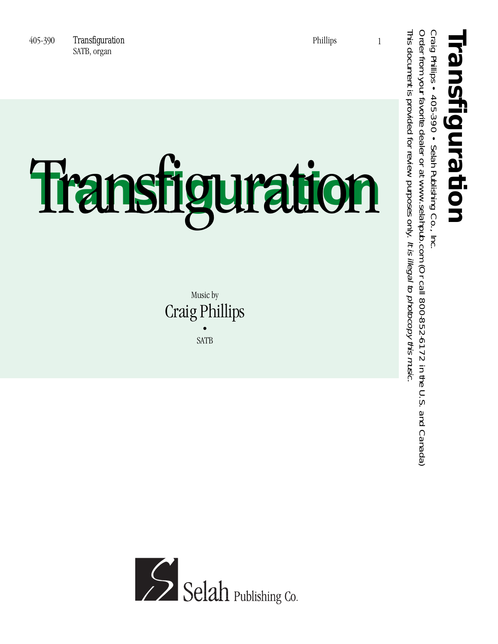1

## Transfiguration **Transfiguration**

Music by Craig Phillips • SATB



This document is provided for review purposes only.

This document is provided for review purposes only. It is illegal to photocopy this music.

Craig Phillips • 405-390 • Selah Publishing Co., Inc.

Order from your favorite dealer or at www.selahpub.com (Or call 800-852-6172 in the U.S. and Canada)

Order from your favorite dealer or at www.selahpub.com (Or call 800-852-6172 in the U.S. and Canada)

It is illegal to photocopy this music.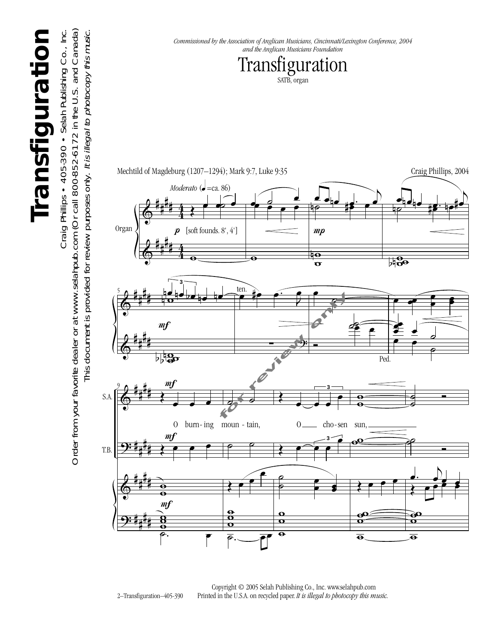

2–Transfiguration–405-390 Copyright © 2005 Selah Publishing Co., Inc. www.selahpub.com Printed in the U.S.A. on recycled paper. *It is illegal to photocopy this music.* 

## Transfiguration **Transfiguration**

Order from your favorite dealer or at www.selahpub.com (Or call 800-852-6172 in the U.S. and Canada) Craig Phillips • 405-390 • Selah Publishing Co., Inc. Craig Phillips • 405-390 • Selah Publishing Co., Inc.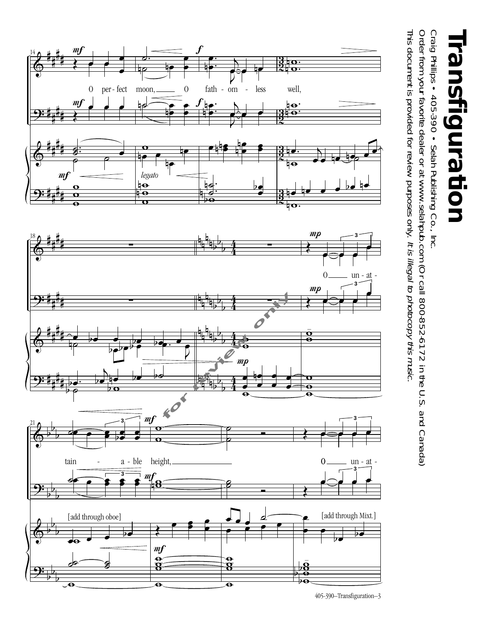

Order from your favorite dealer or at www.selahpub.com (Or call 800-852-6172 in the U.S. and Canada) Order from your favorite dealer or at www.selahpub.com (Or call 800-852-6172 in the U.S. and Canada) Craig Phillips • 405-390 • Selah Publishing Co., Inc. Craig Phillips • 405-390 • Selah Publishing Co., Inc.

This document is provided for review purposes only. It is illegal to photocopy this music. This document is provided for review purposes only. It is illegal to photocopy this music.



<sup>405-390–</sup>Transfiguration–3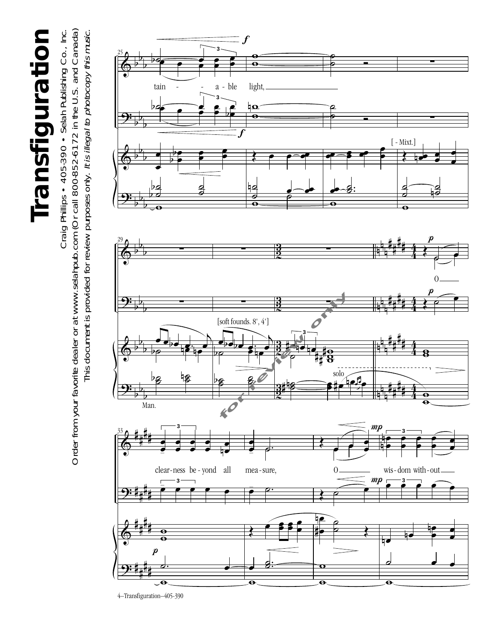## Transfiguration **Transfiguration**

Order from your favorite dealer or at www.selahpub.com (Or call 800-852-6172 in the U.S. and Canada) Craig Phillips • 405-390 • Selah Publishing Co., Inc. Order from your favorite dealer or at www.selahpub.com (Or call 800-852-6172 in the U.S. and Canada) Craig Phillips • 405-390 • Selah Publishing Co., Inc. This document is provided for review purposes only. It is illegal to photocopy this music. This document is provided for review purposes only. It is illegal to photocopy this music.

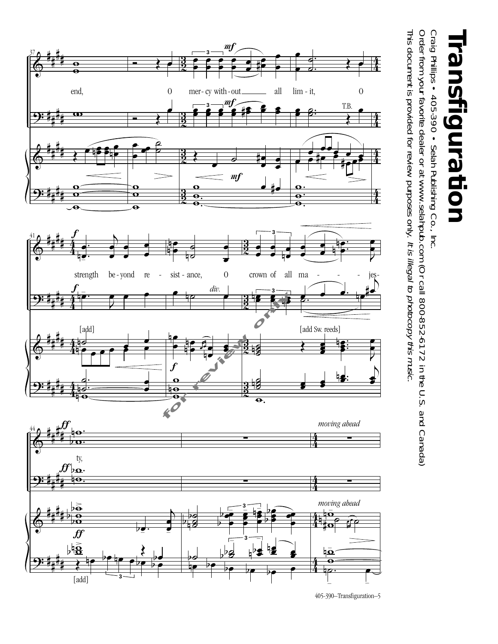

**Transfiguration** <u>ش</u> nsfiguration

Craig Phillips • 405-390 • Selah Publishing Co., Inc. Craig Phillips • 405-390 • Selah Publishing Co., Inc.

This document is provided for review purposes only. It is illegal to photocopy this music. Order from your favorite dealer or at www.selahpub.com (Or call 800-852-6172 in the U.S. and Canada) This document is provided for review purposes only. Order from your favorite dealer or at www.selahpub.com (Or call 800-852-6172 in the U.S. and Canada) It is illegal to photocopy this music.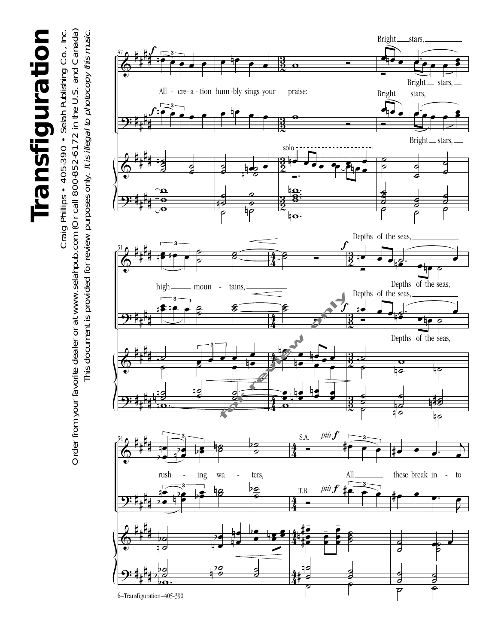Transfiguration **Transfiguration**

Order from your favorite dealer or at www.selahpub.com (Or call 800-852-6172 in the U.S. and Canada) Order from your favorite dealer or at www.selahpub.com (Or call 800-852-6172 in the U.S. and Canada) Craig Phillips • 405-390 • Selah Publishing Co., Inc. Craig Phillips • 405-390 • Selah Publishing Co., Inc. This document is provided for review purposes only. It is illegal to photocopy this music. This document is provided for review purposes only. It is illegal to photocopy this music.

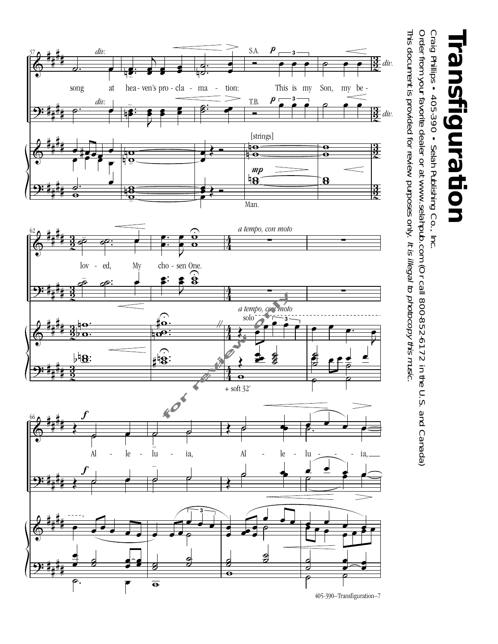

## **Transfiguration** ransfiguration

Craig Phillips • 405-390 • Selah Publishing Co., Inc. Craig Phillips • 405-390 • Selah Publishing Co., Inc.

This document is provided for review purposes only. It is illegal to photocopy this music. Order from your favorite dealer or at www.selahpub.com (Or call 800-852-6172 in the U.S. and Canada) This document is provided for review purposes only. Order from your favorite dealer or at www.selahpub.com (Or call 800-852-6172 in the U.S. and Canada) It is illegal to photocopy this music.